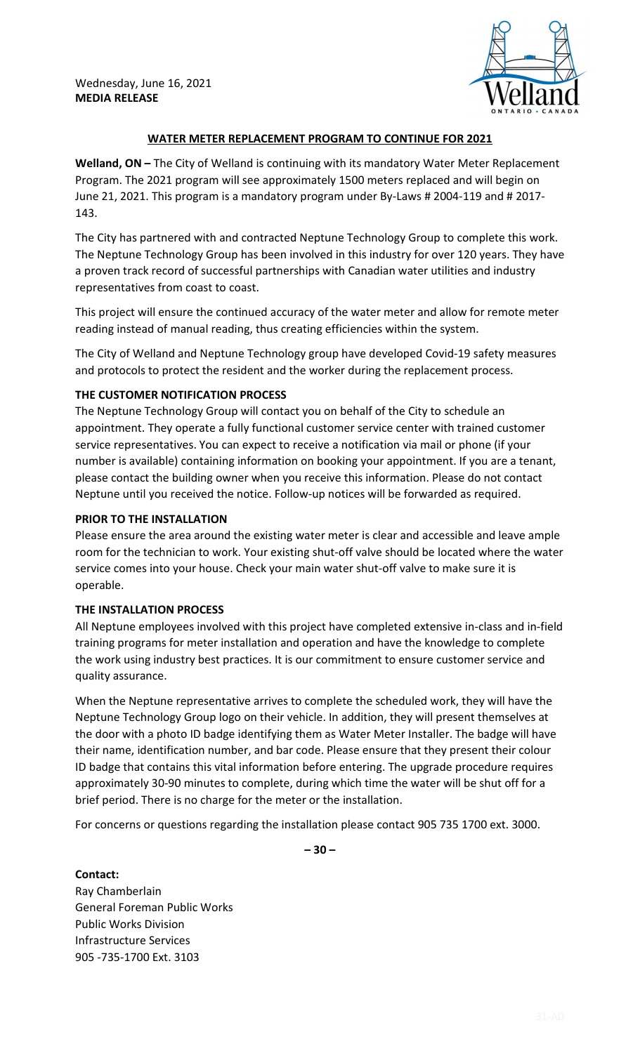

## **WATER METER REPLACEMENT PROGRAM TO CONTINUE FOR 2021**

**Welland, ON –** The City of Welland is continuing with its mandatory Water Meter Replacement Program. The 2021 program will see approximately 1500 meters replaced and will begin on June 21, 2021. This program is a mandatory program under By-Laws # 2004-119 and # 2017- 143.

The City has partnered with and contracted Neptune Technology Group to complete this work. The Neptune Technology Group has been involved in this industry for over 120 years. They have a proven track record of successful partnerships with Canadian water utilities and industry representatives from coast to coast.

This project will ensure the continued accuracy of the water meter and allow for remote meter reading instead of manual reading, thus creating efficiencies within the system.

The City of Welland and Neptune Technology group have developed Covid-19 safety measures and protocols to protect the resident and the worker during the replacement process.

## **THE CUSTOMER NOTIFICATION PROCESS**

The Neptune Technology Group will contact you on behalf of the City to schedule an appointment. They operate a fully functional customer service center with trained customer service representatives. You can expect to receive a notification via mail or phone (if your number is available) containing information on booking your appointment. If you are a tenant, please contact the building owner when you receive this information. Please do not contact Neptune until you received the notice. Follow-up notices will be forwarded as required.

## **PRIOR TO THE INSTALLATION**

Please ensure the area around the existing water meter is clear and accessible and leave ample room for the technician to work. Your existing shut-off valve should be located where the water service comes into your house. Check your main water shut-off valve to make sure it is operable.

## **THE INSTALLATION PROCESS**

All Neptune employees involved with this project have completed extensive in-class and in-field training programs for meter installation and operation and have the knowledge to complete the work using industry best practices. It is our commitment to ensure customer service and quality assurance.

When the Neptune representative arrives to complete the scheduled work, they will have the Neptune Technology Group logo on their vehicle. In addition, they will present themselves at the door with a photo ID badge identifying them as Water Meter Installer. The badge will have their name, identification number, and bar code. Please ensure that they present their colour ID badge that contains this vital information before entering. The upgrade procedure requires approximately 30-90 minutes to complete, during which time the water will be shut off for a brief period. There is no charge for the meter or the installation.

For concerns or questions regarding the installation please contact 905 735 1700 ext. 3000.

**– 30 –** 

**Contact:** Ray Chamberlain General Foreman Public Works Public Works Division Infrastructure Services 905 -735-1700 Ext. 3103